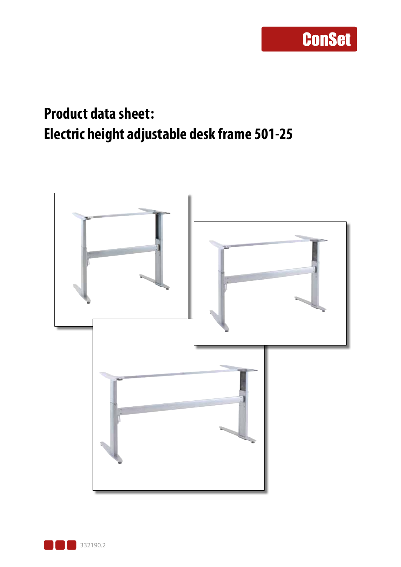### **Product data sheet: Electric height adjustable desk frame 501-25**



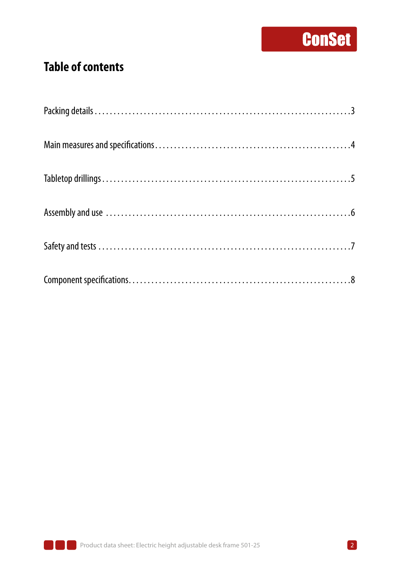### **Table of contents**

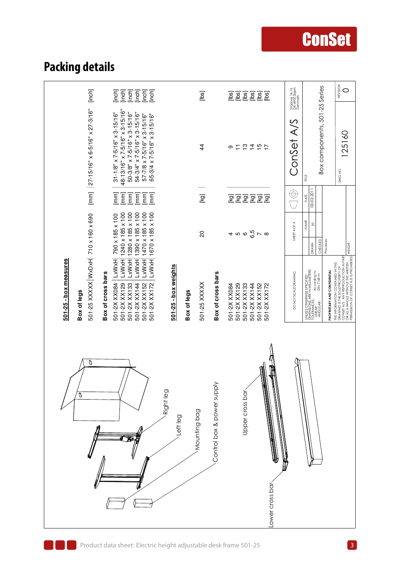### **Packing details**

| [inch]<br>[mm] $ 27-15/16" \times 6-5/16" \times 27-3/16"$                                      | [inch]<br>[inch]<br>linch<br>[inch]<br>[inch]<br>[inch]<br>48-13/16" x 7-5/16" x 3-15/16"<br>50-3/8" x 7-5/16" x 3-15/16"<br>$31 - 1/8"$ x 7-5/16" x 3-15/16"<br>54-3/4" x 7-5/16" x 3-15/16"<br>57-7/8 x 7-5/16" x 3-15/16"<br>65-3/4 x 7-5/16" x 3-15/16" |                                     | [bs]<br>$\overline{4}$                     | [bs]<br>[lbs<br>[los<br>$\overline{25}$<br>[los<br>[lbs<br>$\begin{array}{c} 2 \overline{1} \overline{2} \overline{1} \overline{1} \overline{2} \overline{1} \overline{1} \overline{2} \end{array}$<br>$\overline{1}$<br>თ | Staalvej 14-16<br>DK-6900 Skjern<br>Denmark<br>Conset A/S | Box components, 501-25 Series                                                                                                                    | REVISION<br>0<br>125160<br>DWG NO.                                                                                                                                                                 |
|-------------------------------------------------------------------------------------------------|-------------------------------------------------------------------------------------------------------------------------------------------------------------------------------------------------------------------------------------------------------------|-------------------------------------|--------------------------------------------|----------------------------------------------------------------------------------------------------------------------------------------------------------------------------------------------------------------------------|-----------------------------------------------------------|--------------------------------------------------------------------------------------------------------------------------------------------------|----------------------------------------------------------------------------------------------------------------------------------------------------------------------------------------------------|
|                                                                                                 | [mm]<br>$\lceil mm \rceil$<br>[mm]<br>$\sqrt{\frac{2}{2}}$<br>[mm]<br>$\begin{bmatrix} \mathsf{m}\mathsf{m} \end{bmatrix}$                                                                                                                                  |                                     | [kg]                                       | 医区<br><b>I</b> ex]<br>[kg<br><b>I</b> ex<br><b>lo</b> yi                                                                                                                                                                   | $\circledcirc$                                            | Ë<br>03-02-201<br>DATE                                                                                                                           |                                                                                                                                                                                                    |
|                                                                                                 | 1240 x 185 x 100<br>1280 x 185 x 100<br>1390 x 185 x 100<br>1470 x 185 x 100<br>$L$ xW xH 1670 x 185 x 100<br>790 x 185 x 100                                                                                                                               |                                     | $\Omega$                                   | 4 10 10 <mark>10</mark> 17 10 10                                                                                                                                                                                           | SHEET 4 OF 4                                              | NAME<br>.⊵<br>Processes:<br>CHECKED<br>DRAWN                                                                                                     | WEIGHT:                                                                                                                                                                                            |
| 501-25 XXXXX WxDxH 710 x 160 x 690<br>501-25 - box measures<br>Box of cross bars<br>Box of legs | $ Lx$ WxH<br>LxWxH<br><b>LxWxH</b><br><b>LxWxH</b><br>LxWxH<br>501-2X XX084<br>501-2X XX172<br>501-2X XX129<br>501-2X XX133<br>501-2X XX152<br>501-2X XX144                                                                                                 | 501-25 - box weights<br>Box of legs | Box of cross bars<br>501-25 XXXXX          | 501-2X XX129<br>501-2XXX084<br>501-2X XX133<br>501-2X XX144<br>501-2X XX152<br>501-2X XX172                                                                                                                                | DO NOT SCALE DRAWING                                      | UNLESS OTHERWISE SPECIFIED:<br>DIMENSICNS ARE IN MILLIMETERS<br>TOLERANCES: According to<br>ANGUL'AR: DIN 7168-m<br>PROPRIETARY AND CONFIDENTIAL | THE INFORMATION CONTAINED IN THIS<br>DRAWING IS THE SOLE PROPERTY OF<br>CONSET A/S. ANY REPRODUCTION IN PART<br>PERMISSION OF CONSET A/S IS PROHIBITED.<br>PERMISSION OF CONSET A/S IS PROHIBITED. |
| O                                                                                               |                                                                                                                                                                                                                                                             | Right leg<br>Left leg               | Control box & power supply<br>Mounting bag | Í<br>W<br>Upper cross bar<br>ower cross bar                                                                                                                                                                                |                                                           |                                                                                                                                                  |                                                                                                                                                                                                    |

# **ConSet**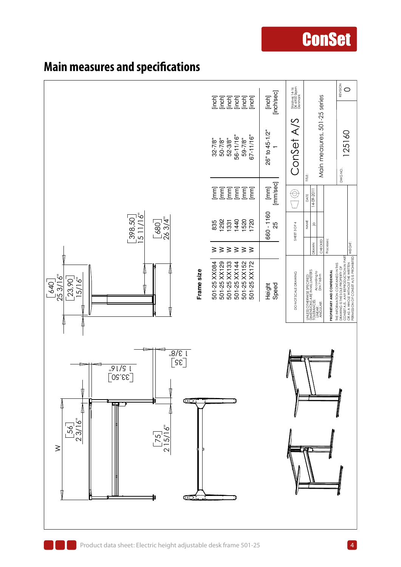

#### **Main measures and specifications**

**ConSet**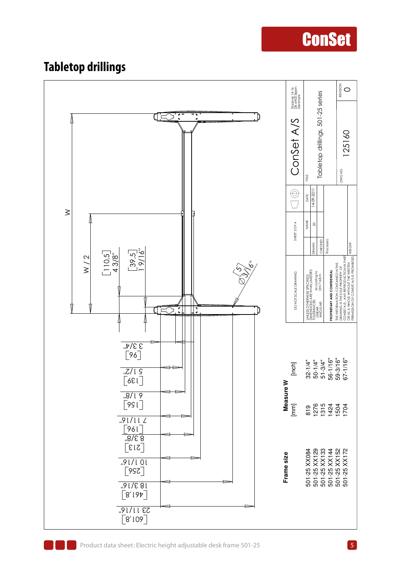### **Tabletop drillings**

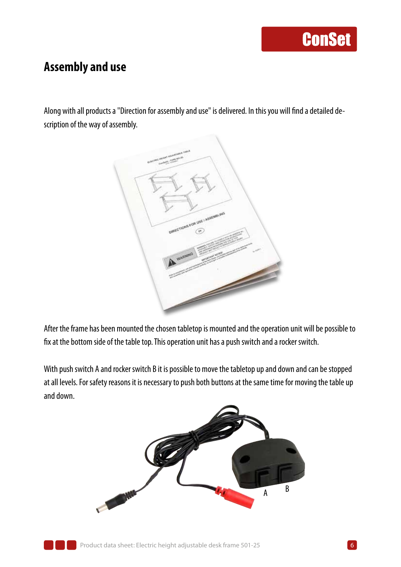#### **Assembly and use**

Along with all products a "Direction for assembly and use" is delivered. In this you will find a detailed description of the way of assembly.



After the frame has been mounted the chosen tabletop is mounted and the operation unit will be possible to fix at the bottom side of the table top. This operation unit has a push switch and a rocker switch.

With push switch A and rocker switch B it is possible to move the tabletop up and down and can be stopped at all levels. For safety reasons it is necessary to push both buttons at the same time for moving the table up and down.



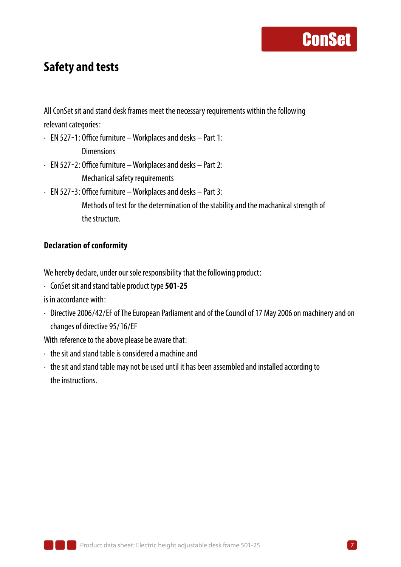#### **Safety and tests**

All ConSet sit and stand desk frames meet the necessary requirements within the following relevant categories:

- ∙ EN 527-1: Office furniture Workplaces and desks Part 1: Dimensions
- ∙ EN 527-2: Office furniture Workplaces and desks Part 2: Mechanical safety requirements
- ∙ EN 527-3: Office furniture Workplaces and desks Part 3:

Methods of test for the determination of the stability and the machanical strength of the structure.

#### **Declaration of conformity**

We hereby declare, under our sole responsibility that the following product:

∙ ConSet sit and stand table product type **501-25**

is in accordance with:

∙ Directive 2006/42/EF of The European Parliament and of the Council of 17 May 2006 on machinery and on changes of directive 95/16/EF

With reference to the above please be aware that:

- ∙ the sit and stand table is considered a machine and
- ∙ the sit and stand table may not be used until it has been assembled and installed according to the instructions.